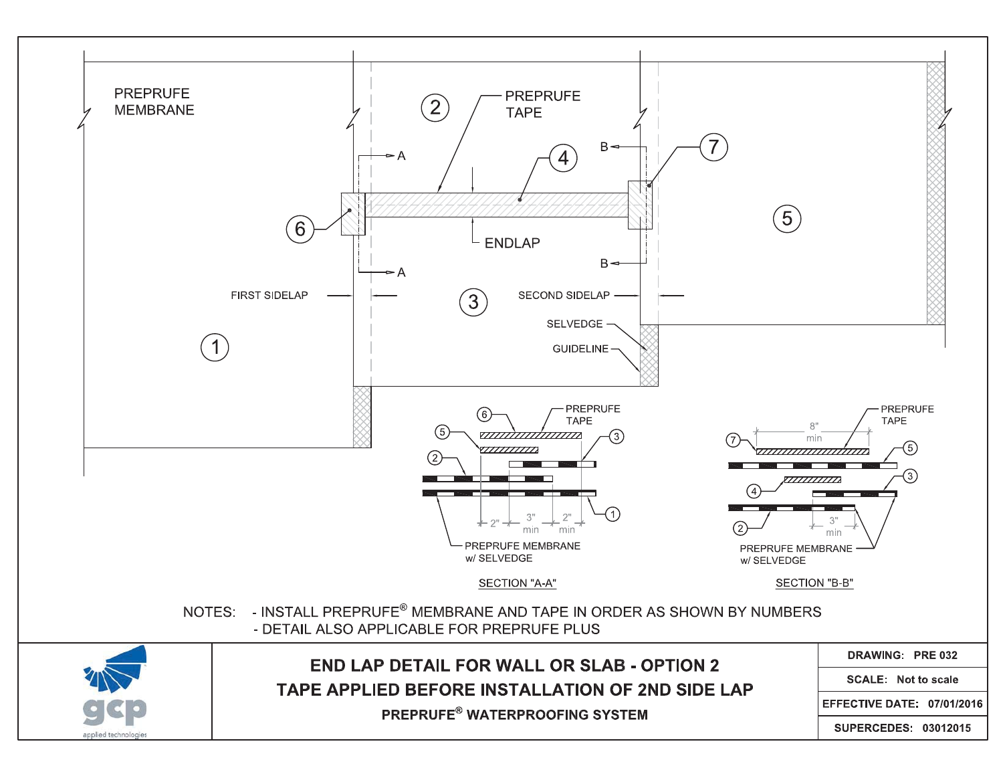